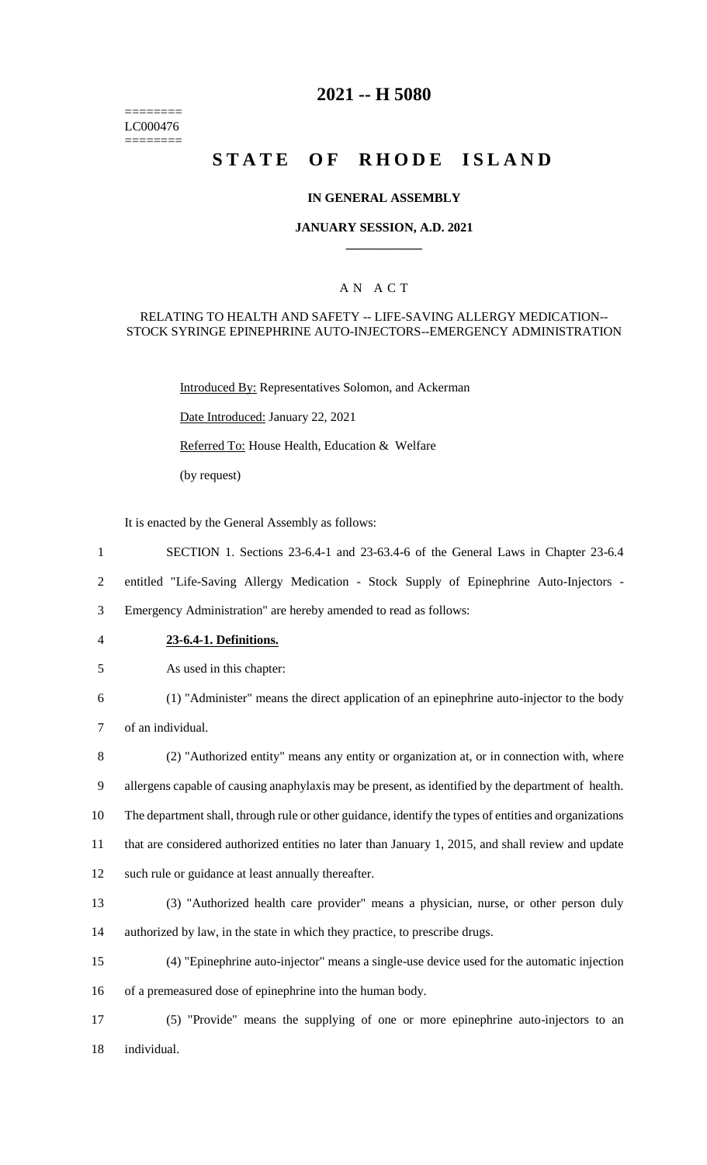======== LC000476 ========

# **2021 -- H 5080**

# **STATE OF RHODE ISLAND**

### **IN GENERAL ASSEMBLY**

### **JANUARY SESSION, A.D. 2021 \_\_\_\_\_\_\_\_\_\_\_\_**

## A N A C T

## RELATING TO HEALTH AND SAFETY -- LIFE-SAVING ALLERGY MEDICATION-- STOCK SYRINGE EPINEPHRINE AUTO-INJECTORS--EMERGENCY ADMINISTRATION

Introduced By: Representatives Solomon, and Ackerman Date Introduced: January 22, 2021

Referred To: House Health, Education & Welfare

(by request)

It is enacted by the General Assembly as follows:

- 1 SECTION 1. Sections 23-6.4-1 and 23-63.4-6 of the General Laws in Chapter 23-6.4
- 2 entitled "Life-Saving Allergy Medication Stock Supply of Epinephrine Auto-Injectors -

3 Emergency Administration" are hereby amended to read as follows:

4 **23-6.4-1. Definitions.**

5 As used in this chapter:

- 6 (1) "Administer" means the direct application of an epinephrine auto-injector to the body 7 of an individual.
- 8 (2) "Authorized entity" means any entity or organization at, or in connection with, where 9 allergens capable of causing anaphylaxis may be present, as identified by the department of health. 10 The department shall, through rule or other guidance, identify the types of entities and organizations 11 that are considered authorized entities no later than January 1, 2015, and shall review and update 12 such rule or guidance at least annually thereafter.
- 
- 13 (3) "Authorized health care provider" means a physician, nurse, or other person duly 14 authorized by law, in the state in which they practice, to prescribe drugs.
- 15 (4) "Epinephrine auto-injector" means a single-use device used for the automatic injection 16 of a premeasured dose of epinephrine into the human body.
- 17 (5) "Provide" means the supplying of one or more epinephrine auto-injectors to an 18 individual.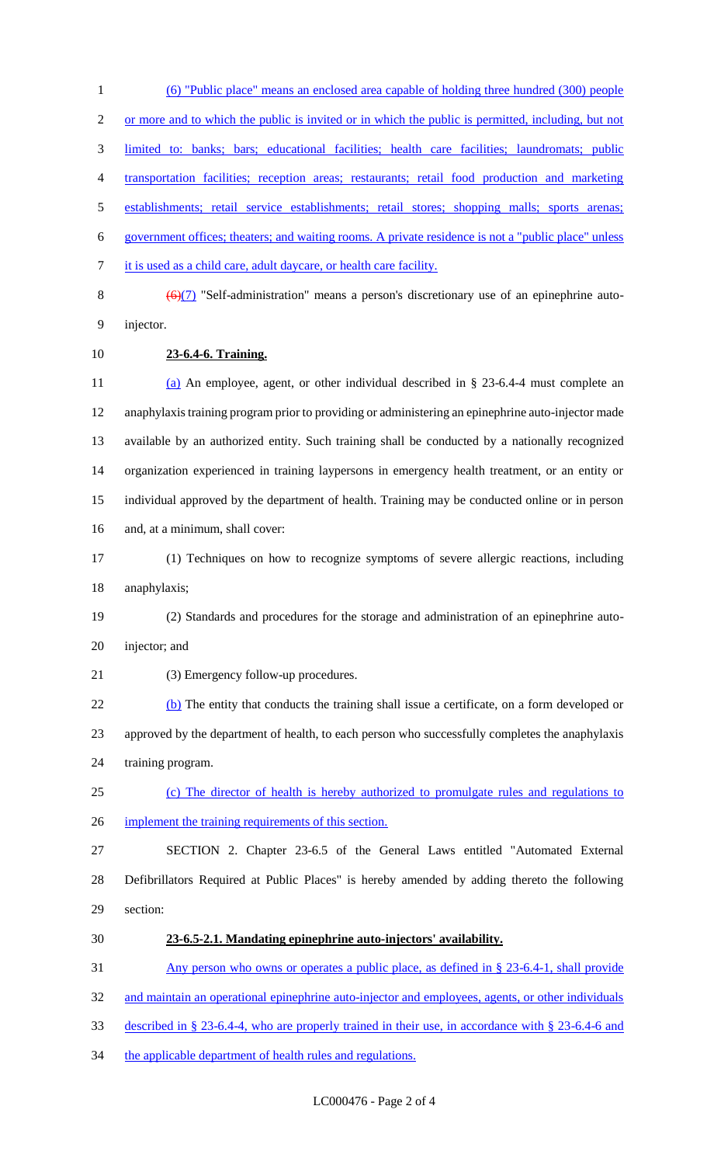(6) "Public place" means an enclosed area capable of holding three hundred (300) people 2 or more and to which the public is invited or in which the public is permitted, including, but not limited to: banks; bars; educational facilities; health care facilities; laundromats; public transportation facilities; reception areas; restaurants; retail food production and marketing establishments; retail service establishments; retail stores; shopping malls; sports arenas; government offices; theaters; and waiting rooms. A private residence is not a "public place" unless it is used as a child care, adult daycare, or health care facility.

8  $\left(\frac{\Theta(7)}{8}\right)$  "Self-administration" means a person's discretionary use of an epinephrine auto-injector.

**23-6.4-6. Training.**

 (a) An employee, agent, or other individual described in § 23-6.4-4 must complete an anaphylaxis training program prior to providing or administering an epinephrine auto-injector made available by an authorized entity. Such training shall be conducted by a nationally recognized organization experienced in training laypersons in emergency health treatment, or an entity or individual approved by the department of health. Training may be conducted online or in person and, at a minimum, shall cover:

 (1) Techniques on how to recognize symptoms of severe allergic reactions, including anaphylaxis;

 (2) Standards and procedures for the storage and administration of an epinephrine auto-injector; and

21 (3) Emergency follow-up procedures.

22 (b) The entity that conducts the training shall issue a certificate, on a form developed or approved by the department of health, to each person who successfully completes the anaphylaxis training program.

 (c) The director of health is hereby authorized to promulgate rules and regulations to 26 implement the training requirements of this section.

 SECTION 2. Chapter 23-6.5 of the General Laws entitled "Automated External Defibrillators Required at Public Places" is hereby amended by adding thereto the following section:

**23-6.5-2.1. Mandating epinephrine auto-injectors' availability.** 

Any person who owns or operates a public place, as defined in § 23-6.4-1, shall provide

32 and maintain an operational epinephrine auto-injector and employees, agents, or other individuals

- described in § 23-6.4-4, who are properly trained in their use, in accordance with § 23-6.4-6 and
- 34 the applicable department of health rules and regulations.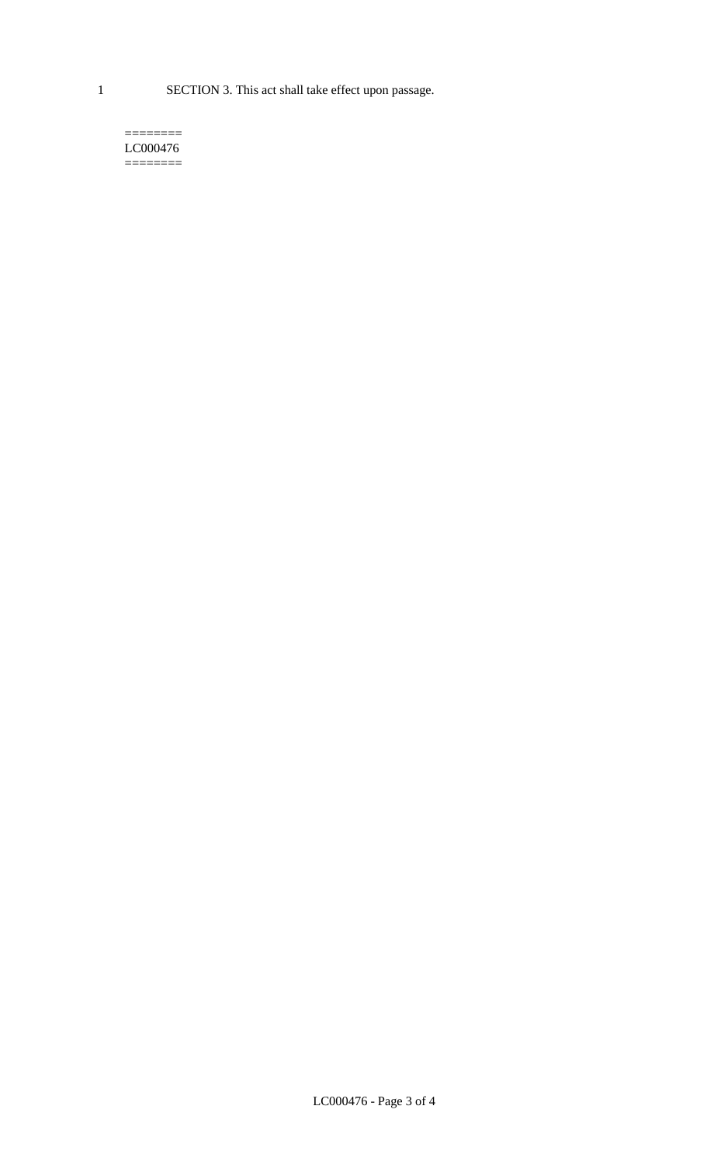1 SECTION 3. This act shall take effect upon passage.

#### $=$ LC000476 ========

LC000476 - Page 3 of 4